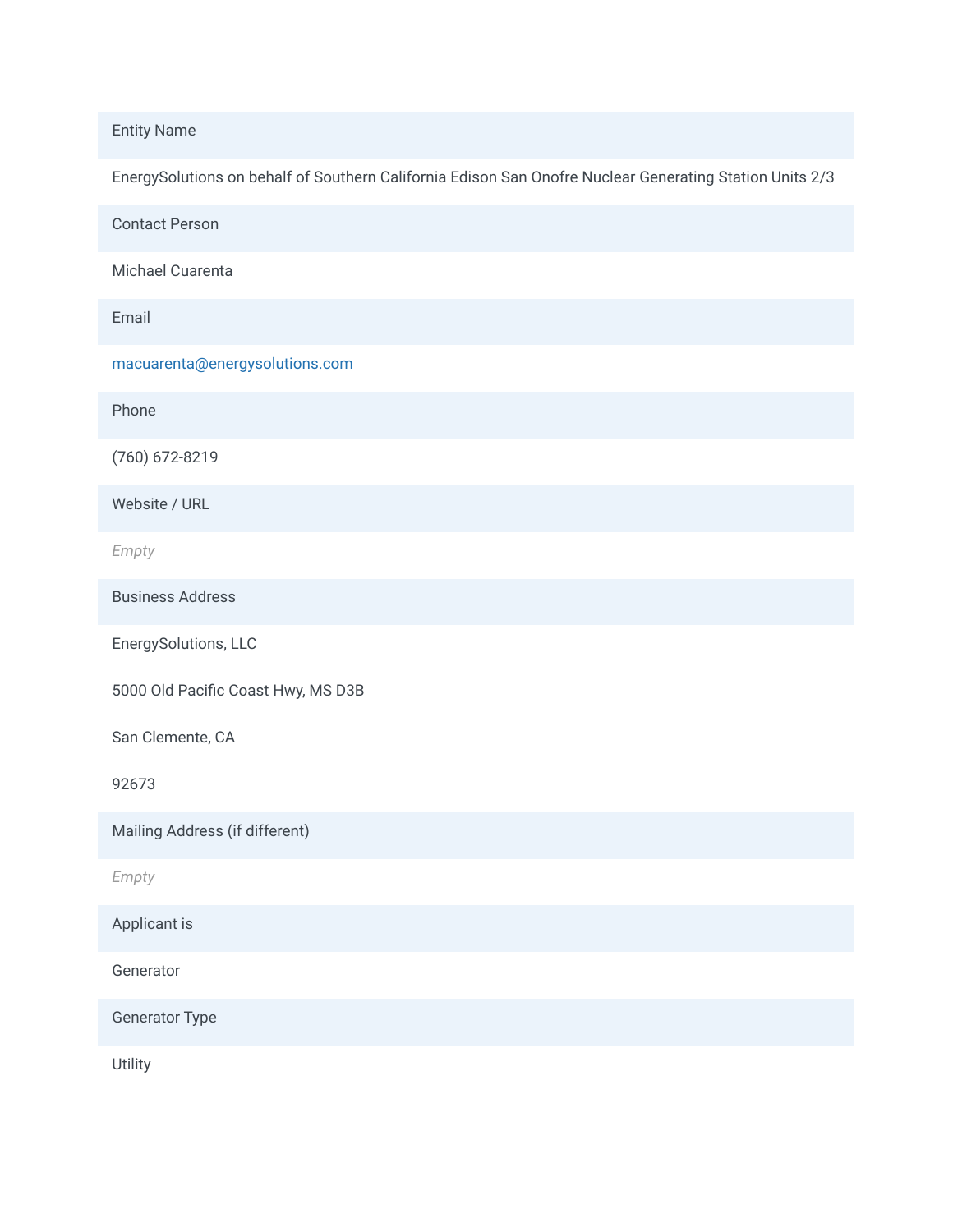Entity Name

EnergySolutions on behalf of Southern California Edison San Onofre Nuclear Generating Station Units 2/3

Contact Person

Michael Cuarenta

Email

macuarenta@energysolutions.com

Phone

(760) 672-8219

Website / URL

*Empty*

Business Address

EnergySolutions, LLC

5000 Old Pacific Coast Hwy, MS D3B

San Clemente, CA

92673

Mailing Address (if different)

*Empty*

Applicant is

Generator

Generator Type

Utility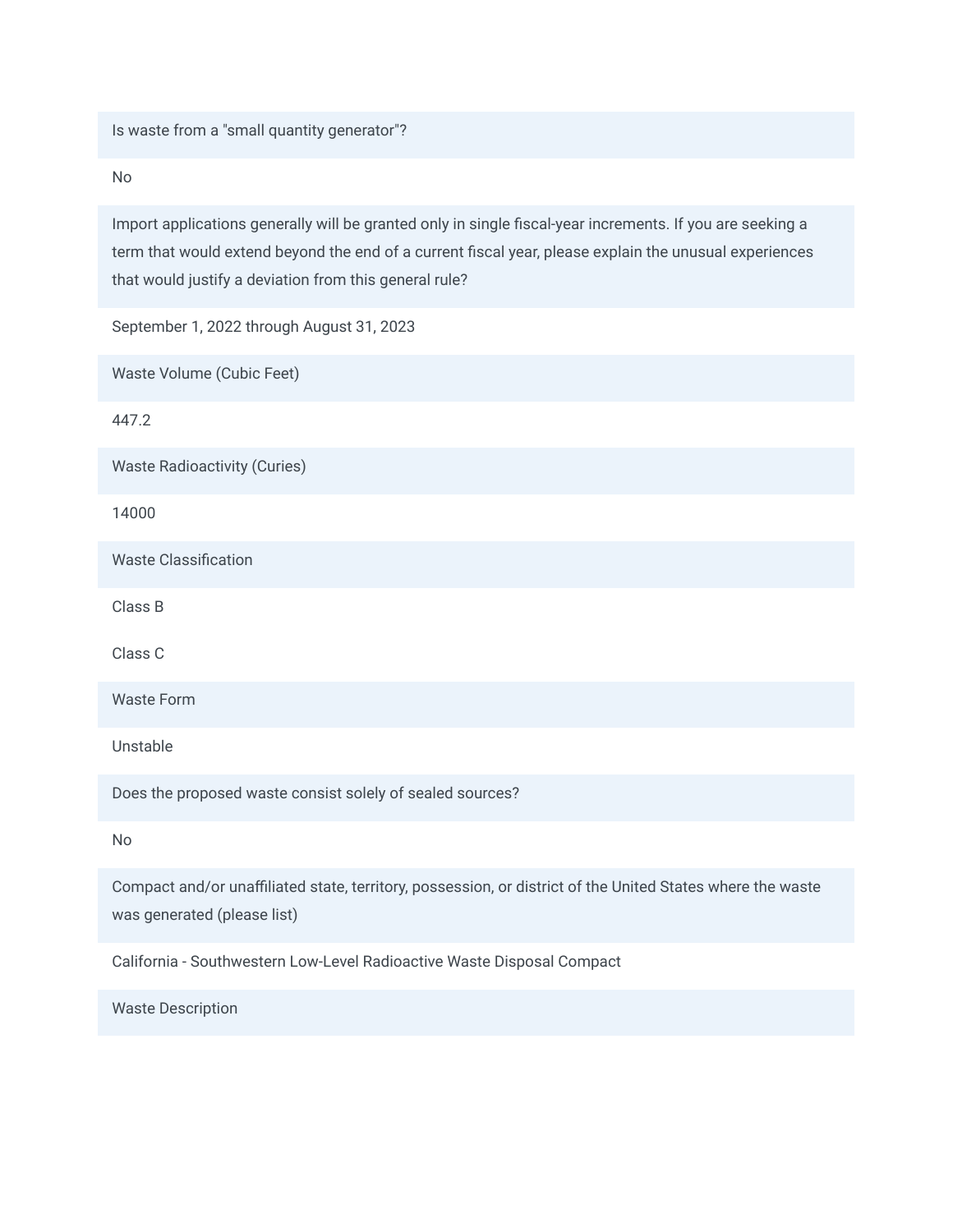Is waste from a "small quantity generator"?

No

Import applications generally will be granted only in single fiscal-year increments. If you are seeking a term that would extend beyond the end of a current fiscal year, please explain the unusual experiences that would justify a deviation from this general rule?

September 1, 2022 through August 31, 2023

Waste Volume (Cubic Feet)

447.2

Waste Radioactivity (Curies)

14000

Waste Classification

Class B

Class C

Waste Form

Unstable

Does the proposed waste consist solely of sealed sources?

No

Compact and/or unaffiliated state, territory, possession, or district of the United States where the waste was generated (please list)

California - Southwestern Low-Level Radioactive Waste Disposal Compact

Waste Description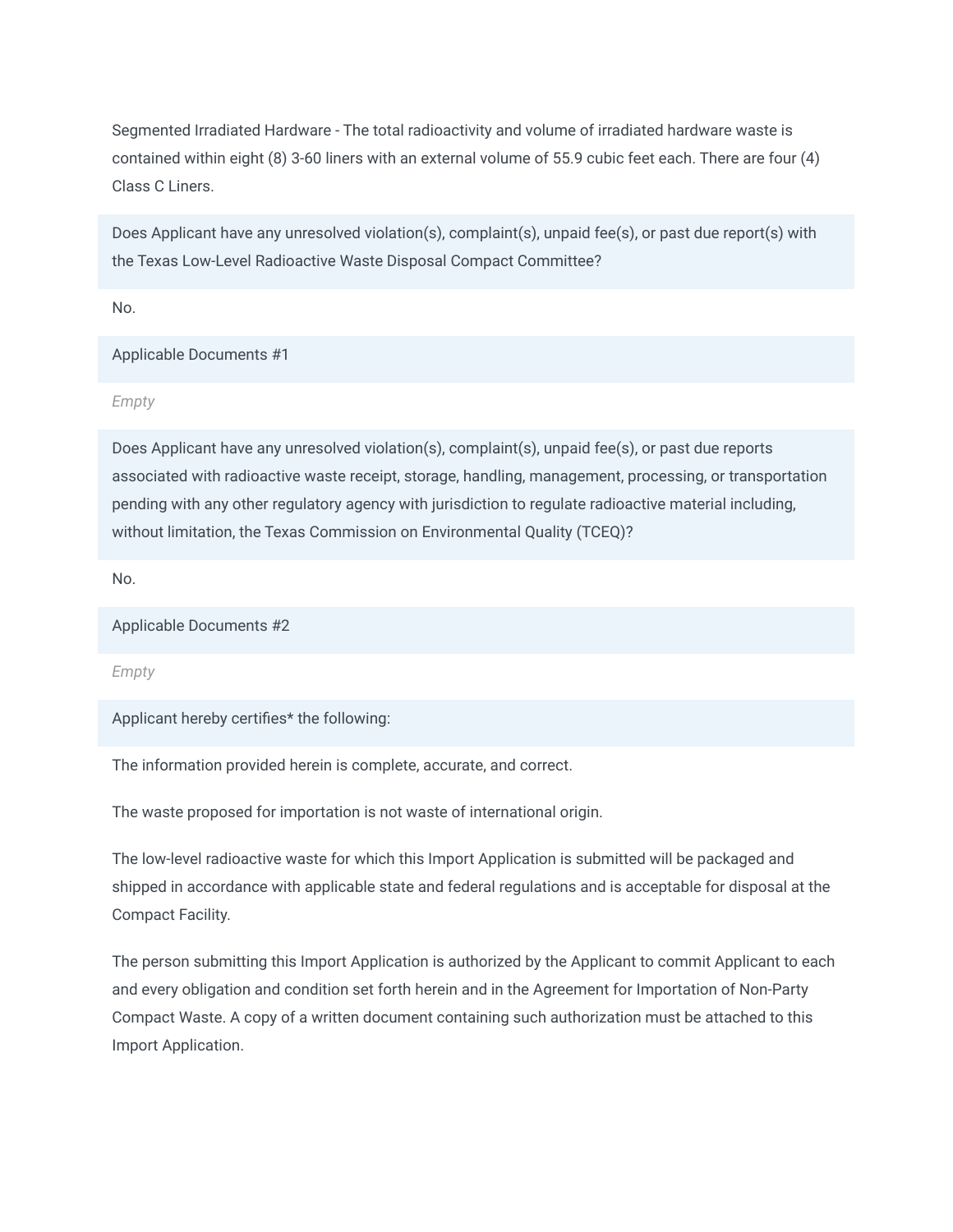Segmented Irradiated Hardware - The total radioactivity and volume of irradiated hardware waste is contained within eight (8) 3-60 liners with an external volume of 55.9 cubic feet each. There are four (4) Class C Liners.

Does Applicant have any unresolved violation(s), complaint(s), unpaid fee(s), or past due report(s) with the Texas Low-Level Radioactive Waste Disposal Compact Committee?

No.

Applicable Documents #1

*Empty*

Does Applicant have any unresolved violation(s), complaint(s), unpaid fee(s), or past due reports associated with radioactive waste receipt, storage, handling, management, processing, or transportation pending with any other regulatory agency with jurisdiction to regulate radioactive material including, without limitation, the Texas Commission on Environmental Quality (TCEQ)?

No.

Applicable Documents #2

*Empty*

Applicant hereby certifies\* the following:

The information provided herein is complete, accurate, and correct.

The waste proposed for importation is not waste of international origin.

The low-level radioactive waste for which this Import Application is submitted will be packaged and shipped in accordance with applicable state and federal regulations and is acceptable for disposal at the Compact Facility.

The person submitting this Import Application is authorized by the Applicant to commit Applicant to each and every obligation and condition set forth herein and in the Agreement for Importation of Non-Party Compact Waste. A copy of a written document containing such authorization must be attached to this Import Application.